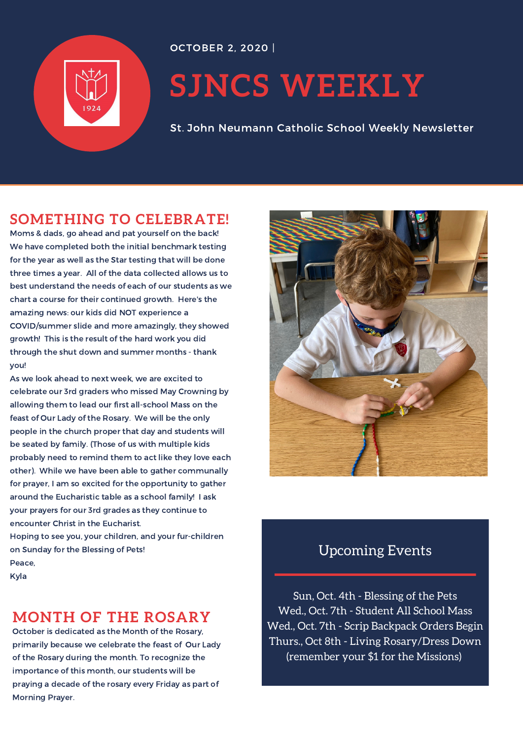

# **SJNCS WEEKLY**

St. John Neumann Catholic School Weekly Newsletter

# **[SOMETHING](https://docs.google.com/document/d/e/2PACX-1vT7wrr3XuY0PIxBdzmG9Wu7HaAIHzthg_KidsCmOLWzKuWGPwVDPCbb7rYZVd01hWZqiKQkLJtF4OGm/pub?urp=gmail_link) TO CELEBRATE!**

Moms & dads, go ahead and pat yourself on the back! We have completed both the initial benchmark testing for the year as well as the Star testing that will be done three times a year. All of the data collected allows us to best understand the needs of each of our students as we chart a course for their continued growth. Here's the amazing news: our kids did NOT experience a COVID/summer slide and more amazingly, they showed growth! This is the result of the hard work you did through the shut down and summer months - thank you!

As we look ahead to next week, we are excited to celebrate our 3rd graders who missed May Crowning by allowing them to lead our first all-school Mass on the feast of Our Lady of the Rosary. We will be the only people in the church proper that day and students will be seated by family. (Those of us with multiple kids probably need to remind them to act like they love each other). While we have been able to gather communally for prayer, I am so excited for the opportunity to gather around the Eucharistic table as a school family! I ask your prayers for our 3rd grades as they continue to encounter Christ in the Eucharist.

Hoping to see you, your children, and your fur-children on Sunday for the Blessing of Pets! Peace,

Kyla

## **MONTH OF THE ROSARY**

October is dedicated as the Month of the Rosary, primarily because we celebrate the feast of Our Lady of the Rosary during the month. To recognize the importance of this month, our students will be praying a decade of the rosary every Friday as part of Morning Prayer.



## Upcoming Events

Sun, Oct. 4th - Blessing of the Pets Wed., Oct. 7th - Student All School Mass Wed., Oct. 7th - Scrip Backpack Orders Begin Thurs., Oct 8th - Living Rosary/Dress Down (remember your \$1 for the Missions)